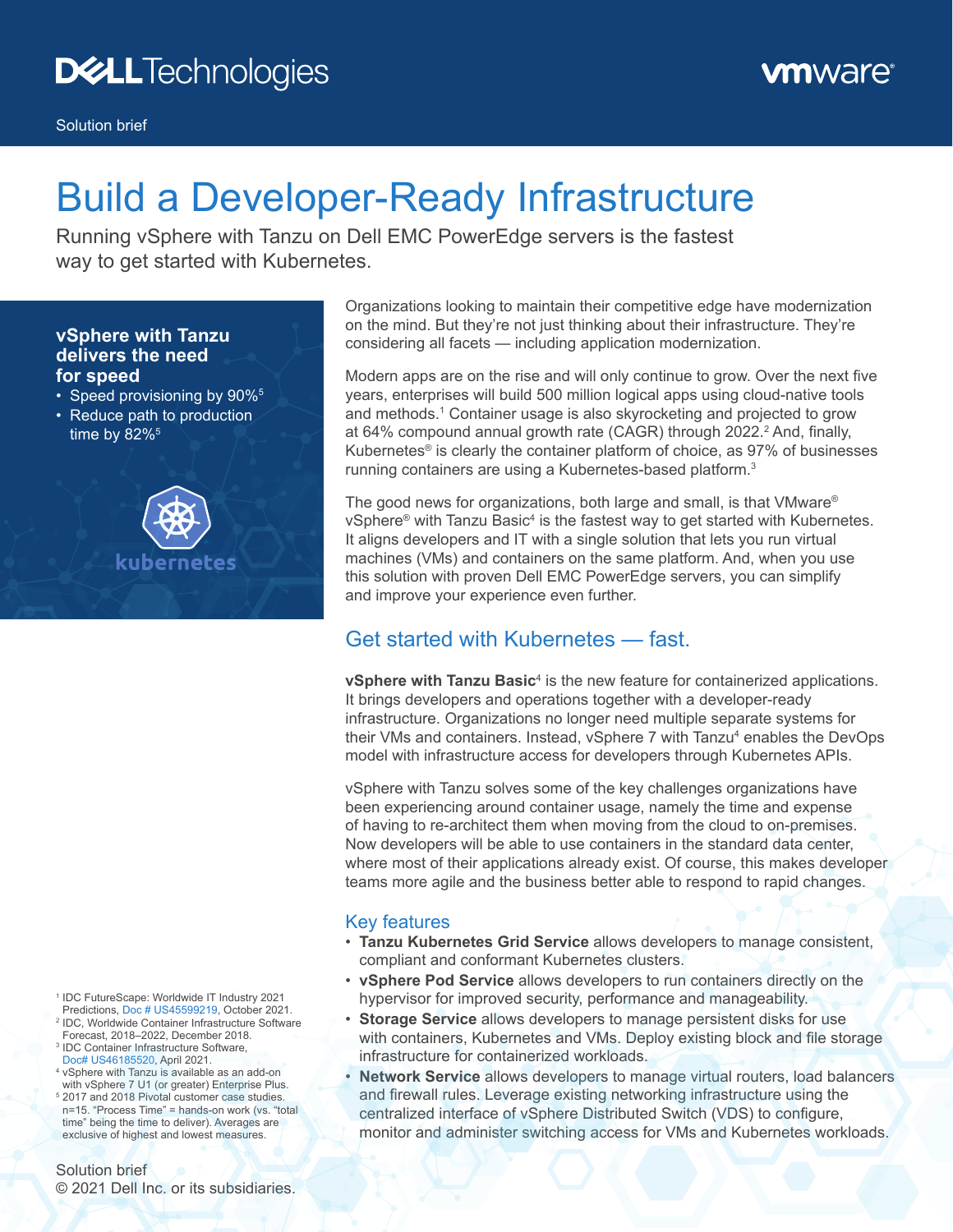Solution brief

# **Build a Developer-Ready Infrastructure**

Running vSphere with Tanzu on Dell EMC PowerEdge servers is the fastest way to get started with Kubernetes.

#### **vSphere with Tanzu delivers the need for speed**

- Speed provisioning by 90%<sup>5</sup>
- Reduce path to production time by  $82\%$ <sup>5</sup>



Organizations looking to maintain their competitive edge have modernization on the mind. But they're not just thinking about their infrastructure. They're considering all facets — including application modernization.

Modern apps are on the rise and will only continue to grow. Over the next five years, enterprises will build 500 million logical apps using cloud-native tools and methods.<sup>1</sup> Container usage is also skyrocketing and projected to grow at 64% compound annual growth rate (CAGR) through 2022.<sup>2</sup> And, finally, Kubernetes® is clearly the container platform of choice, as 97% of businesses running containers are using a Kubernetes-based platform.<sup>3</sup>

The good news for organizations, both large and small, is that VMware® vSphere® with Tanzu Basic<sup>4</sup> is the fastest way to get started with Kubernetes. It aligns developers and IT with a single solution that lets you run virtual machines (VMs) and containers on the same platform. And, when you use this solution with proven Dell EMC PowerEdge servers, you can simplify and improve your experience even further.

### Get started with Kubernetes — fast.

**vSphere with Tanzu Basic<sup>4</sup> is the new feature for containerized applications.** It brings developers and operations together with a developer-ready infrastructure. Organizations no longer need multiple separate systems for their VMs and containers. Instead, vSphere 7 with Tanzu<sup>4</sup> enables the DevOps model with infrastructure access for developers through Kubernetes APIs.

vSphere with Tanzu solves some of the key challenges organizations have been experiencing around container usage, namely the time and expense of having to re‑architect them when moving from the cloud to on‑premises. Now developers will be able to use containers in the standard data center, where most of their applications already exist. Of course, this makes developer teams more agile and the business better able to respond to rapid changes.

#### Key features

- **Tanzu Kubernetes Grid Service** allows developers to manage consistent, compliant and conformant Kubernetes clusters.
- **vSphere Pod Service** allows developers to run containers directly on the hypervisor for improved security, performance and manageability.
- **Storage Service** allows developers to manage persistent disks for use with containers, Kubernetes and VMs. Deploy existing block and file storage infrastructure for containerized workloads.
- **Network Service** allows developers to manage virtual routers, load balancers and firewall rules. Leverage existing networking infrastructure using the centralized interface of vSphere Distributed Switch (VDS) to configure, monitor and administer switching access for VMs and Kubernetes workloads.
- <sup>1</sup> IDC FutureScape: Worldwide IT Industry 2021 Predictions, [Doc # US45599219,](https://www.idc.com/getdoc.jsp?containerId=US45599219) October 2021. <sup>2</sup> IDC, Worldwide Container Infrastructure Software Forecast, 2018–2022, December 2018.
- <sup>3</sup> IDC Container Infrastructure Software, [Doc# US46185520](https://www.idc.com/getdoc.jsp?containerId=US46185520), April 2021.
- <sup>4</sup> vSphere with Tanzu is available as an add‑on with vSphere 7 U1 (or greater) Enterprise Plus. <sup>5</sup> 2017 and 2018 Pivotal customer case studies. n=15. "Process Time" = hands‑on work (vs. "total time" being the time to deliver). Averages are exclusive of highest and lowest measures.

Solution brief © 2021 Dell Inc. or its subsidiaries.